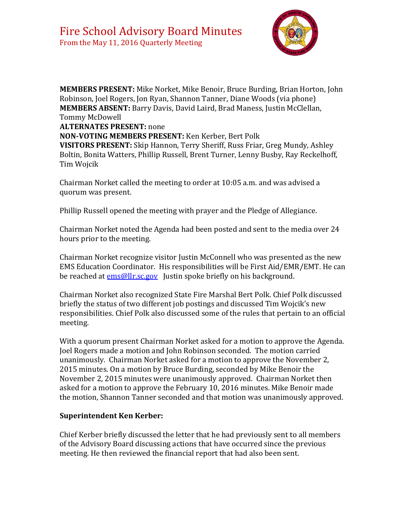

**MEMBERS PRESENT:** Mike Norket, Mike Benoir, Bruce Burding, Brian Horton, John Robinson, Joel Rogers, Jon Ryan, Shannon Tanner, Diane Woods (via phone) **MEMBERS ABSENT:** Barry Davis, David Laird, Brad Maness, Justin McClellan, Tommy McDowell

**ALTERNATES PRESENT:** none

**NON-VOTING MEMBERS PRESENT:** Ken Kerber, Bert Polk

**VISITORS PRESENT:** Skip Hannon, Terry Sheriff, Russ Friar, Greg Mundy, Ashley Boltin, Bonita Watters, Phillip Russell, Brent Turner, Lenny Busby, Ray Reckelhoff, Tim Wojcik

Chairman Norket called the meeting to order at 10:05 a.m. and was advised a quorum was present.

Phillip Russell opened the meeting with prayer and the Pledge of Allegiance.

Chairman Norket noted the Agenda had been posted and sent to the media over 24 hours prior to the meeting.

Chairman Norket recognize visitor Justin McConnell who was presented as the new EMS Education Coordinator. His responsibilities will be First Aid/EMR/EMT. He can be reached at **ems@llr.sc.gov** Justin spoke briefly on his background.

Chairman Norket also recognized State Fire Marshal Bert Polk. Chief Polk discussed briefly the status of two different job postings and discussed Tim Wojcik's new responsibilities. Chief Polk also discussed some of the rules that pertain to an official meeting.

With a quorum present Chairman Norket asked for a motion to approve the Agenda. Joel Rogers made a motion and John Robinson seconded. The motion carried unanimously. Chairman Norket asked for a motion to approve the November 2, 2015 minutes. On a motion by Bruce Burding, seconded by Mike Benoir the November 2, 2015 minutes were unanimously approved. Chairman Norket then asked for a motion to approve the February 10, 2016 minutes. Mike Benoir made the motion, Shannon Tanner seconded and that motion was unanimously approved.

#### **Superintendent Ken Kerber:**

Chief Kerber briefly discussed the letter that he had previously sent to all members of the Advisory Board discussing actions that have occurred since the previous meeting. He then reviewed the financial report that had also been sent.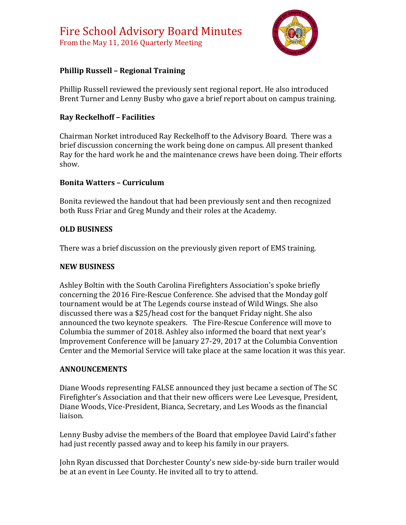

# **Phillip Russell – Regional Training**

Phillip Russell reviewed the previously sent regional report. He also introduced Brent Turner and Lenny Busby who gave a brief report about on campus training.

# **Ray Reckelhoff – Facilities**

Chairman Norket introduced Ray Reckelhoff to the Advisory Board. There was a brief discussion concerning the work being done on campus. All present thanked Ray for the hard work he and the maintenance crews have been doing. Their efforts show.

### **Bonita Watters – Curriculum**

Bonita reviewed the handout that had been previously sent and then recognized both Russ Friar and Greg Mundy and their roles at the Academy.

### **OLD BUSINESS**

There was a brief discussion on the previously given report of EMS training.

#### **NEW BUSINESS**

Ashley Boltin with the South Carolina Firefighters Association's spoke briefly concerning the 2016 Fire-Rescue Conference. She advised that the Monday golf tournament would be at The Legends course instead of Wild Wings. She also discussed there was a \$25/head cost for the banquet Friday night. She also announced the two keynote speakers. The Fire-Rescue Conference will move to Columbia the summer of 2018. Ashley also informed the board that next year's Improvement Conference will be January 27-29, 2017 at the Columbia Convention Center and the Memorial Service will take place at the same location it was this year.

# **ANNOUNCEMENTS**

Diane Woods representing FALSE announced they just became a section of The SC Firefighter's Association and that their new officers were Lee Levesque, President, Diane Woods, Vice-President, Bianca, Secretary, and Les Woods as the financial liaison.

Lenny Busby advise the members of the Board that employee David Laird's father had just recently passed away and to keep his family in our prayers.

John Ryan discussed that Dorchester County's new side-by-side burn trailer would be at an event in Lee County. He invited all to try to attend.